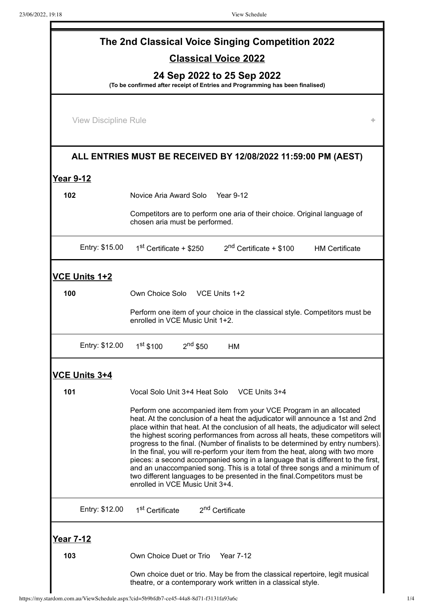| The 2nd Classical Voice Singing Competition 2022                                                            |                                                                                                                                                                                                                                                                                                                                                                                                                                                                                                                                                                                                                                                                                                                                                                                   |  |  |  |  |  |
|-------------------------------------------------------------------------------------------------------------|-----------------------------------------------------------------------------------------------------------------------------------------------------------------------------------------------------------------------------------------------------------------------------------------------------------------------------------------------------------------------------------------------------------------------------------------------------------------------------------------------------------------------------------------------------------------------------------------------------------------------------------------------------------------------------------------------------------------------------------------------------------------------------------|--|--|--|--|--|
| <b>Classical Voice 2022</b>                                                                                 |                                                                                                                                                                                                                                                                                                                                                                                                                                                                                                                                                                                                                                                                                                                                                                                   |  |  |  |  |  |
| 24 Sep 2022 to 25 Sep 2022<br>(To be confirmed after receipt of Entries and Programming has been finalised) |                                                                                                                                                                                                                                                                                                                                                                                                                                                                                                                                                                                                                                                                                                                                                                                   |  |  |  |  |  |
| <b>View Discipline Rule</b>                                                                                 |                                                                                                                                                                                                                                                                                                                                                                                                                                                                                                                                                                                                                                                                                                                                                                                   |  |  |  |  |  |
|                                                                                                             |                                                                                                                                                                                                                                                                                                                                                                                                                                                                                                                                                                                                                                                                                                                                                                                   |  |  |  |  |  |
|                                                                                                             | ALL ENTRIES MUST BE RECEIVED BY 12/08/2022 11:59:00 PM (AEST)                                                                                                                                                                                                                                                                                                                                                                                                                                                                                                                                                                                                                                                                                                                     |  |  |  |  |  |
| <b>Year 9-12</b>                                                                                            |                                                                                                                                                                                                                                                                                                                                                                                                                                                                                                                                                                                                                                                                                                                                                                                   |  |  |  |  |  |
| 102                                                                                                         | Novice Aria Award Solo Year 9-12                                                                                                                                                                                                                                                                                                                                                                                                                                                                                                                                                                                                                                                                                                                                                  |  |  |  |  |  |
|                                                                                                             | Competitors are to perform one aria of their choice. Original language of<br>chosen aria must be performed.                                                                                                                                                                                                                                                                                                                                                                                                                                                                                                                                                                                                                                                                       |  |  |  |  |  |
| Entry: \$15.00                                                                                              | $1st$ Certificate + \$250 $2nd$ Certificate + \$100 HM Certificate                                                                                                                                                                                                                                                                                                                                                                                                                                                                                                                                                                                                                                                                                                                |  |  |  |  |  |
| <b>VCE Units 1+2</b>                                                                                        |                                                                                                                                                                                                                                                                                                                                                                                                                                                                                                                                                                                                                                                                                                                                                                                   |  |  |  |  |  |
| 100                                                                                                         | Own Choice Solo VCE Units 1+2                                                                                                                                                                                                                                                                                                                                                                                                                                                                                                                                                                                                                                                                                                                                                     |  |  |  |  |  |
|                                                                                                             | Perform one item of your choice in the classical style. Competitors must be<br>enrolled in VCE Music Unit 1+2.                                                                                                                                                                                                                                                                                                                                                                                                                                                                                                                                                                                                                                                                    |  |  |  |  |  |
| Entry: \$12.00                                                                                              | $1st$ \$100<br>$2nd$ \$50<br>HM                                                                                                                                                                                                                                                                                                                                                                                                                                                                                                                                                                                                                                                                                                                                                   |  |  |  |  |  |
| <b>VCE Units 3+4</b>                                                                                        |                                                                                                                                                                                                                                                                                                                                                                                                                                                                                                                                                                                                                                                                                                                                                                                   |  |  |  |  |  |
| 101                                                                                                         | Vocal Solo Unit 3+4 Heat Solo VCE Units 3+4                                                                                                                                                                                                                                                                                                                                                                                                                                                                                                                                                                                                                                                                                                                                       |  |  |  |  |  |
|                                                                                                             | Perform one accompanied item from your VCE Program in an allocated<br>heat. At the conclusion of a heat the adjudicator will announce a 1st and 2nd<br>place within that heat. At the conclusion of all heats, the adjudicator will select<br>the highest scoring performances from across all heats, these competitors will<br>progress to the final. (Number of finalists to be determined by entry numbers).<br>In the final, you will re-perform your item from the heat, along with two more<br>pieces: a second accompanied song in a language that is different to the first,<br>and an unaccompanied song. This is a total of three songs and a minimum of<br>two different languages to be presented in the final.Competitors must be<br>enrolled in VCE Music Unit 3+4. |  |  |  |  |  |
| Entry: \$12.00                                                                                              | 1 <sup>st</sup> Certificate<br>2 <sup>nd</sup> Certificate                                                                                                                                                                                                                                                                                                                                                                                                                                                                                                                                                                                                                                                                                                                        |  |  |  |  |  |
| <u>Year 7-12</u>                                                                                            |                                                                                                                                                                                                                                                                                                                                                                                                                                                                                                                                                                                                                                                                                                                                                                                   |  |  |  |  |  |
| 103                                                                                                         | Own Choice Duet or Trio<br><b>Year 7-12</b>                                                                                                                                                                                                                                                                                                                                                                                                                                                                                                                                                                                                                                                                                                                                       |  |  |  |  |  |
|                                                                                                             | Own choice duet or trio. May be from the classical repertoire, legit musical<br>theatre, or a contemporary work written in a classical style.                                                                                                                                                                                                                                                                                                                                                                                                                                                                                                                                                                                                                                     |  |  |  |  |  |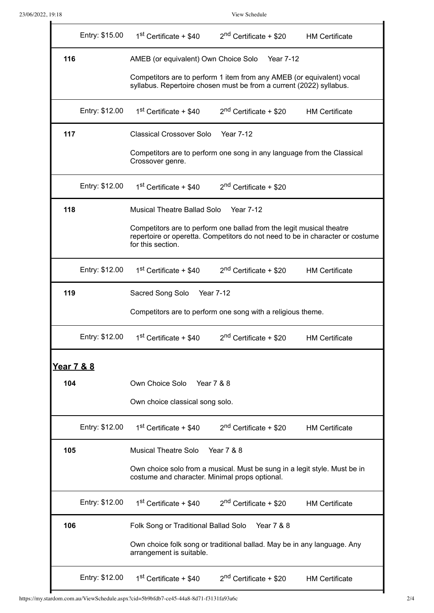$\blacksquare$ 

 $\blacksquare$ 

|            | Entry: \$15.00 | 1 <sup>st</sup> Certificate + \$40                                                                                                                                         | $2nd$ Certificate + \$20 HM Certificate |                       |  |  |
|------------|----------------|----------------------------------------------------------------------------------------------------------------------------------------------------------------------------|-----------------------------------------|-----------------------|--|--|
| 116        |                | AMEB (or equivalent) Own Choice Solo<br>Year 7-12                                                                                                                          |                                         |                       |  |  |
|            |                | Competitors are to perform 1 item from any AMEB (or equivalent) vocal<br>syllabus. Repertoire chosen must be from a current (2022) syllabus.                               |                                         |                       |  |  |
|            | Entry: \$12.00 | 1 <sup>st</sup> Certificate + \$40                                                                                                                                         | 2 <sup>nd</sup> Certificate + \$20      | <b>HM Certificate</b> |  |  |
| 117        |                | <b>Classical Crossover Solo</b>                                                                                                                                            | <b>Year 7-12</b>                        |                       |  |  |
|            |                | Competitors are to perform one song in any language from the Classical<br>Crossover genre.                                                                                 |                                         |                       |  |  |
|            | Entry: \$12.00 | 1 <sup>st</sup> Certificate + \$40                                                                                                                                         | $2nd$ Certificate + \$20                |                       |  |  |
| 118        |                | Musical Theatre Ballad Solo<br><b>Year 7-12</b>                                                                                                                            |                                         |                       |  |  |
|            |                | Competitors are to perform one ballad from the legit musical theatre<br>repertoire or operetta. Competitors do not need to be in character or costume<br>for this section. |                                         |                       |  |  |
|            | Entry: \$12.00 | $1st$ Certificate + \$40                                                                                                                                                   | $2nd$ Certificate + \$20 HM Certificate |                       |  |  |
| 119        |                | Sacred Song Solo Year 7-12                                                                                                                                                 |                                         |                       |  |  |
|            |                | Competitors are to perform one song with a religious theme.                                                                                                                |                                         |                       |  |  |
|            | Entry: \$12.00 | 1 <sup>st</sup> Certificate + \$40                                                                                                                                         | 2 <sup>nd</sup> Certificate + \$20      | <b>HM Certificate</b> |  |  |
| Year 7 & 8 |                |                                                                                                                                                                            |                                         |                       |  |  |
| 104        |                | Own Choice Solo<br>Year 7 & 8                                                                                                                                              |                                         |                       |  |  |
|            |                | Own choice classical song solo.                                                                                                                                            |                                         |                       |  |  |
|            | Entry: \$12.00 | $1st$ Certificate + \$40                                                                                                                                                   | $2nd$ Certificate + \$20                | <b>HM Certificate</b> |  |  |
| 105        |                | <b>Musical Theatre Solo</b>                                                                                                                                                | Year 7 & 8                              |                       |  |  |
|            |                | Own choice solo from a musical. Must be sung in a legit style. Must be in<br>costume and character. Minimal props optional.                                                |                                         |                       |  |  |
|            | Entry: \$12.00 | $1st$ Certificate + \$40                                                                                                                                                   | $2nd$ Certificate + \$20                | <b>HM Certificate</b> |  |  |
| 106        |                | Folk Song or Traditional Ballad Solo<br>Year 7 & 8                                                                                                                         |                                         |                       |  |  |
|            |                | Own choice folk song or traditional ballad. May be in any language. Any<br>arrangement is suitable.                                                                        |                                         |                       |  |  |
|            | Entry: \$12.00 | 1 <sup>st</sup> Certificate + \$40                                                                                                                                         | 2 <sup>nd</sup> Certificate + \$20      | <b>HM Certificate</b> |  |  |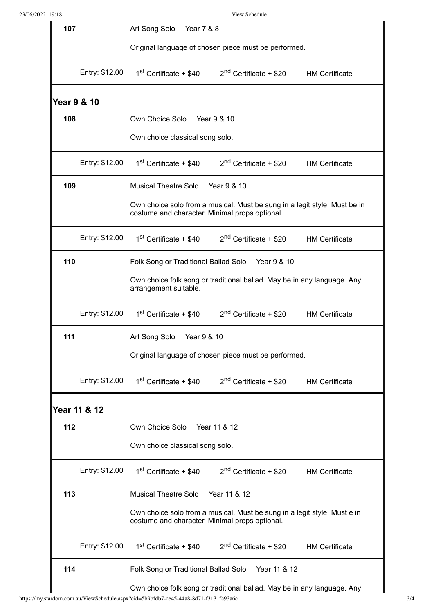View Schedule

| 107         |                | Art Song Solo<br>Year 7 & 8                                                                                                 |  |  |  |  |
|-------------|----------------|-----------------------------------------------------------------------------------------------------------------------------|--|--|--|--|
|             |                | Original language of chosen piece must be performed.                                                                        |  |  |  |  |
|             | Entry: \$12.00 | 1 <sup>st</sup> Certificate + \$40<br>$2nd$ Certificate + \$20<br><b>HM Certificate</b>                                     |  |  |  |  |
| Year 9 & 10 |                |                                                                                                                             |  |  |  |  |
| 108         |                | Own Choice Solo Year 9 & 10                                                                                                 |  |  |  |  |
|             |                | Own choice classical song solo.                                                                                             |  |  |  |  |
|             | Entry: \$12.00 | $1st$ Certificate + \$40<br>$2nd$ Certificate + \$20<br><b>HM Certificate</b>                                               |  |  |  |  |
| 109         |                | <b>Musical Theatre Solo</b><br>Year 9 & 10                                                                                  |  |  |  |  |
|             |                | Own choice solo from a musical. Must be sung in a legit style. Must be in<br>costume and character. Minimal props optional. |  |  |  |  |
|             | Entry: \$12.00 | $1st$ Certificate + \$40<br>2 <sup>nd</sup> Certificate + \$20<br><b>HM Certificate</b>                                     |  |  |  |  |
| 110         |                | Folk Song or Traditional Ballad Solo<br>Year 9 & 10                                                                         |  |  |  |  |
|             |                | Own choice folk song or traditional ballad. May be in any language. Any<br>arrangement suitable.                            |  |  |  |  |
|             | Entry: \$12.00 | 1 <sup>st</sup> Certificate + \$40<br>$2nd$ Certificate + \$20<br><b>HM Certificate</b>                                     |  |  |  |  |
| 111         |                | Year 9 & 10<br>Art Song Solo                                                                                                |  |  |  |  |
|             |                | Original language of chosen piece must be performed.                                                                        |  |  |  |  |
|             | Entry: \$12.00 | 1 <sup>st</sup> Certificate + \$40<br>$2nd$ Certificate + \$20<br><b>HM Certificate</b>                                     |  |  |  |  |
|             | Year 11 & 12   |                                                                                                                             |  |  |  |  |
| 112         |                | Own Choice Solo Year 11 & 12                                                                                                |  |  |  |  |
|             |                | Own choice classical song solo.                                                                                             |  |  |  |  |
|             | Entry: \$12.00 | 1 <sup>st</sup> Certificate + \$40<br>$2nd$ Certificate + \$20 HM Certificate                                               |  |  |  |  |
| 113         |                | Year 11 & 12<br><b>Musical Theatre Solo</b>                                                                                 |  |  |  |  |
|             |                | Own choice solo from a musical. Must be sung in a legit style. Must e in<br>costume and character. Minimal props optional.  |  |  |  |  |
|             | Entry: \$12.00 | 1 <sup>st</sup> Certificate + \$40<br>2 <sup>nd</sup> Certificate + \$20<br><b>HM Certificate</b>                           |  |  |  |  |
| 114         |                | Year 11 & 12<br>Folk Song or Traditional Ballad Solo                                                                        |  |  |  |  |
|             |                | Own choice folk song or traditional ballad. May be in any language. Any                                                     |  |  |  |  |